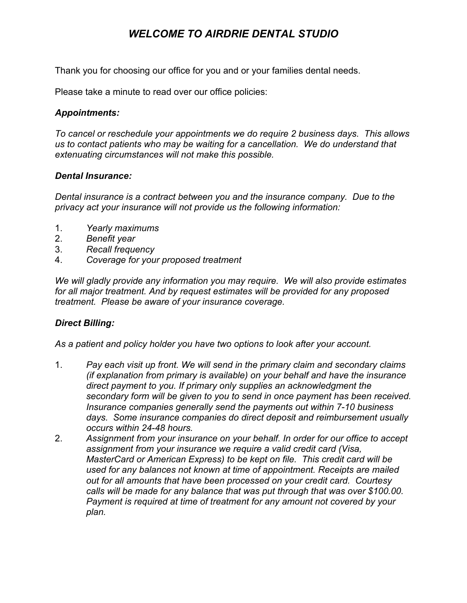# *WELCOME TO AIRDRIE DENTAL STUDIO*

Thank you for choosing our office for you and or your families dental needs.

Please take a minute to read over our office policies:

### *Appointments:*

*To cancel or reschedule your appointments we do require 2 business days. This allows us to contact patients who may be waiting for a cancellation. We do understand that extenuating circumstances will not make this possible.*

#### *Dental Insurance:*

*Dental insurance is a contract between you and the insurance company. Due to the privacy act your insurance will not provide us the following information:*

- 1. *Yearly maximums*
- 2. *Benefit year*
- 3. *Recall frequency*
- 4. *Coverage for your proposed treatment*

*We will gladly provide any information you may require. We will also provide estimates for all major treatment. And by request estimates will be provided for any proposed treatment. Please be aware of your insurance coverage.*

### *Direct Billing:*

*As a patient and policy holder you have two options to look after your account.*

- 1. *Pay each visit up front. We will send in the primary claim and secondary claims (if explanation from primary is available) on your behalf and have the insurance direct payment to you. If primary only supplies an acknowledgment the secondary form will be given to you to send in once payment has been received. Insurance companies generally send the payments out within 7-10 business days. Some insurance companies do direct deposit and reimbursement usually occurs within 2448 hours.*
- 2. *Assignment from your insurance on your behalf. In order for our office to accept assignment from your insurance we require a valid credit card (Visa, MasterCard or American Express) to be kept on file. This credit card will be used for any balances not known at time of appointment. Receipts are mailed out for all amounts that have been processed on your credit card. Courtesy calls will be made for any balance that was put through that was over \$100.00. Payment is required at time of treatment for any amount not covered by your plan.*